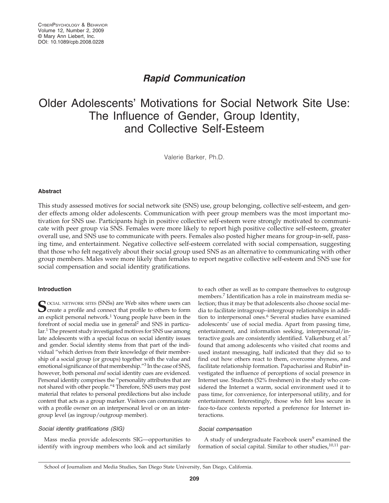# *Rapid Communication*

# Older Adolescents' Motivations for Social Network Site Use: The Influence of Gender, Group Identity, and Collective Self-Esteem

Valerie Barker, Ph.D.

# **Abstract**

This study assessed motives for social network site (SNS) use, group belonging, collective self-esteem, and gender effects among older adolescents. Communication with peer group members was the most important motivation for SNS use. Participants high in positive collective self-esteem were strongly motivated to communicate with peer group via SNS. Females were more likely to report high positive collective self-esteem, greater overall use, and SNS use to communicate with peers. Females also posted higher means for group-in-self, passing time, and entertainment. Negative collective self-esteem correlated with social compensation, suggesting that those who felt negatively about their social group used SNS as an alternative to communicating with other group members. Males were more likely than females to report negative collective self-esteem and SNS use for social compensation and social identity gratifications.

# **Introduction**

SOCIAL NETWORK SITES (SNSs) are Web sites where users can<br>create a profile and connect that profile to others to form an explicit personal network.1 Young people have been in the forefront of social media use in general2 and SNS in particular.1 The present study investigated motives for SNS use among late adolescents with a special focus on social identity issues and gender. Social identity stems from that part of the individual "which derives from their knowledge of their membership of a social group (or groups) together with the value and emotional significance of that membership."3 In the case of SNS, however, both personal *and* social identity cues are evidenced. Personal identity comprises the "personality attributes that are not shared with other people."4 Therefore, SNS users may post material that relates to personal predilections but also include content that acts as a group marker. Visitors can communicate with a profile owner on an interpersonal level or on an intergroup level (as ingroup/outgroup member).

# *Social identity gratifications (SIG)*

Mass media provide adolescents SIG—opportunities to identify with ingroup members who look and act similarly

to each other as well as to compare themselves to outgroup members.<sup>7</sup> Identification has a role in mainstream media selection; thus it may be that adolescents also choose social media to facilitate intragroup–intergroup relationships in addition to interpersonal ones.<sup>6</sup> Several studies have examined adolescents' use of social media. Apart from passing time, entertainment, and information seeking, interpersonal/interactive goals are consistently identified. Valkenburg et al.<sup>7</sup> found that among adolescents who visited chat rooms and used instant messaging, half indicated that they did so to find out how others react to them, overcome shyness, and facilitate relationship formation. Papacharissi and Rubin<sup>8</sup> investigated the influence of perceptions of social presence in Internet use. Students (52% freshmen) in the study who considered the Internet a warm, social environment used it to pass time, for convenience, for interpersonal utility, and for entertainment. Interestingly, those who felt less secure in face-to-face contexts reported a preference for Internet interactions.

# *Social compensation*

A study of undergraduate Facebook users<sup>9</sup> examined the formation of social capital. Similar to other studies,<sup>10,11</sup> par-

School of Journalism and Media Studies, San Diego State University, San Diego, California.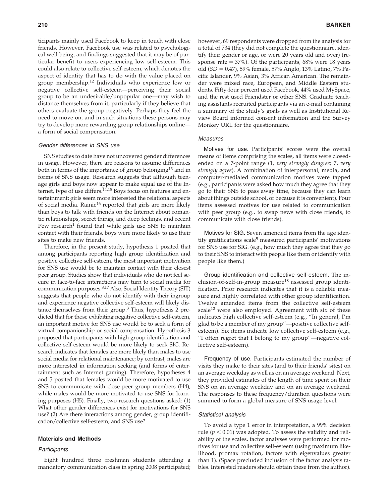ticipants mainly used Facebook to keep in touch with close friends. However, Facebook use was related to psychological well-being, and findings suggested that it may be of particular benefit to users experiencing low self-esteem. This could also relate to collective self-esteem, which denotes the aspect of identity that has to do with the value placed on group membership.<sup>12</sup> Individuals who experience low or negative collective self-esteem—perceiving their social group to be an undesirable/unpopular one—may wish to distance themselves from it, particularly if they believe that others evaluate the group negatively. Perhaps they feel the need to move on, and in such situations these persons may try to develop more rewarding group relationships online a form of social compensation.

# *Gender differences in SNS use*

SNS studies to date have not uncovered gender differences in usage. However, there are reasons to assume differences both in terms of the importance of group belonging<sup>13</sup> and in forms of SNS usage. Research suggests that although teenage girls and boys now appear to make equal use of the Internet, type of use differs. $14,15$  Boys focus on features and entertainment; girls seem more interested the relational aspects of social media. Rainie<sup>16</sup> reported that girls are more likely than boys to talk with friends on the Internet about romantic relationships, secret things, and deep feelings, and recent Pew research<sup>1</sup> found that while girls use SNS to maintain contact with their friends, boys were more likely to use their sites to make new friends.

Therefore, in the present study, hypothesis 1 posited that among participants reporting high group identification and positive collective self-esteem, the most important motivation for SNS use would be to maintain contact with their closest peer group. Studies show that individuals who do not feel secure in face-to-face interactions may turn to social media for communication purposes.8,17 Also, Social Identity Theory (SIT) suggests that people who do not identify with their ingroup and experience negative collective self-esteem will likely distance themselves from their group.3 Thus, hypothesis 2 predicted that for those exhibiting negative collective self-esteem, an important motive for SNS use would be to seek a form of virtual companionship or social compensation. Hypothesis 3 proposed that participants with high group identification and collective self-esteem would be more likely to seek SIG. Research indicates that females are more likely than males to use social media for relational maintenance; by contrast, males are more interested in information seeking (and forms of entertainment such as Internet gaming). Therefore, hypotheses 4 and 5 posited that females would be more motivated to use SNS to communicate with close peer group members (H4), while males would be more motivated to use SNS for learning purposes (H5). Finally, two research questions asked: (1) What other gender differences exist for motivations for SNS use? (2) Are there interactions among gender, group identification/collective self-esteem, and SNS use?

### **Materials and Methods**

#### *Participants*

Eight hundred three freshman students attending a mandatory communication class in spring 2008 participated; however, 69 respondents were dropped from the analysis for a total of 734 (they did not complete the questionnaire, identify their gender or age, or were 20 years old and over) (response rate  $= 37\%$ ). Of the participants, 68% were 18 years old (*SD* - 0.47), 59% female, 57% Anglo, 13% Latino, 7% Pacific Islander, 9% Asian, 3% African American. The remainder were mixed race, European, and Middle Eastern students. Fifty-four percent used Facebook, 44% used MySpace, and the rest used Friendster or other SNS. Graduate teaching assistants recruited participants via an e-mail containing a summary of the study's goals as well as Institutional Review Board informed consent information and the Survey Monkey URL for the questionnaire.

# *Measures*

Motives for use. Participants' scores were the overall means of items comprising the scales, all items were closedended on a 7-point range (1, *very strongly disagree*; 7, *very strongly agree*). A combination of interpersonal, media, and computer-mediated communication motives were tapped (e.g., participants were asked how much they agree that they go to their SNS to pass away time, because they can learn about things outside school, or because it is convenient). Four items assessed motives for use related to communication with peer group (e.g., to swap news with close friends, to communicate with close friends).

Motives for SIG. Seven amended items from the age identity gratifications scale<sup>5</sup> measured participants' motivations for SNS use for SIG. (e.g., how much they agree that they go to their SNS to interact with people like them or identify with people like them.)

Group identification and collective self-esteem. The inclusion-of-self-in-group measure<sup>18</sup> assessed group identification. Prior research indicates that it is a reliable measure and highly correlated with other group identification. Twelve amended items from the collective self-esteem scale<sup>12</sup> were also employed. Agreement with six of these indicates high collective self-esteem (e.g., "In general, I'm glad to be a member of my group"—positive collective selfesteem). Six items indicate low collective self-esteem (e.g., "I often regret that I belong to my group"—negative collective self-esteem).

Frequency of use. Participants estimated the number of visits they make to their sites (and to their friends' sites) on an average weekday as well as on an average weekend. Next, they provided estimates of the length of time spent on their SNS on an average weekday and on an average weekend. The responses to these frequency/duration questions were summed to form a global measure of SNS usage level.

### *Statistical analysis*

To avoid a type 1 error in interpretation, a 99% decision rule ( $p < 0.01$ ) was adopted. To assess the validity and reliability of the scales, factor analyses were performed for motives for use and collective self-esteem (using maximum likelihood, promax rotation, factors with eigenvalues greater than 1). (Space precluded inclusion of the factor analysis tables. Interested readers should obtain these from the author).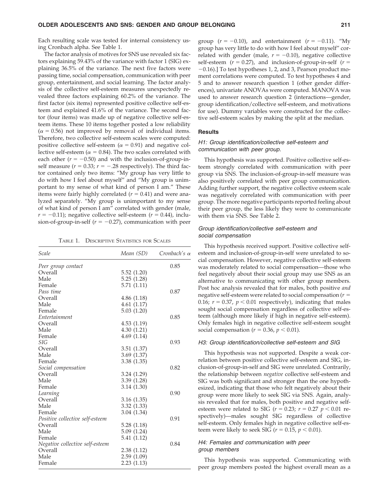Each resulting scale was tested for internal consistency using Cronbach alpha. See Table 1.

The factor analysis of motives for SNS use revealed six factors explaining 59.43% of the variance with factor 1 (SIG) explaining 36.5% of the variance. The next five factors were passing time, social compensation, communication with peer group, entertainment, and social learning. The factor analysis of the collective self-esteem measures unexpectedly revealed three factors explaining 60.2% of the variance. The first factor (six items) represented positive collective self-esteem and explained 41.6% of the variance. The second factor (four items) was made up of negative collective self-esteem items. These 10 items together posted a low reliability  $(\alpha = 0.56)$  not improved by removal of individual items. Therefore, two collective self-esteem scales were computed: positive collective self-esteem ( $\alpha = 0.91$ ) and negative collective self-esteem ( $\alpha = 0.84$ ). The two scales correlated with each other  $(r = -0.50)$  and with the inclusion-of-group-inself measure  $(r = 0.33; r = -.28$  respectively). The third factor contained only two items: "My group has very little to do with how I feel about myself" and "My group is unimportant to my sense of what kind of person I am." These items were fairly highly correlated  $(r = 0.41)$  and were analyzed separately. "My group is unimportant to my sense of what kind of person I am" correlated with gender (male,  $r = -0.11$ ); negative collective self-esteem ( $r = 0.44$ ), inclu $sion-of-group-in-self$  ( $r = -0.27$ ), communication with peer

TABLE 1. DESCRIPTIVE STATISTICS FOR SCALES

| Scale                           | Mean (SD)   | Cronbach's $\alpha$ |
|---------------------------------|-------------|---------------------|
| Peer group contact              |             | 0.85                |
| Overall                         | 5.52(1.20)  |                     |
| Male                            | 5.25(1.28)  |                     |
| Female                          | 5.71(1.11)  |                     |
| Pass time                       |             | 0.87                |
| Overall                         | 4.86(1.18)  |                     |
| Male                            | 4.61(1.17)  |                     |
| Female                          | 5.03(1.20)  |                     |
| Entertainment                   |             | 0.85                |
| Overall                         | 4.53(1.19)  |                     |
| Male                            | 4.30(1.21)  |                     |
| Female                          | 4.69(1.14)  |                     |
| SIG                             |             | 0.93                |
| Overall                         | 3.51 (1.37) |                     |
| Male                            | 3.69 (1.37) |                     |
| Female                          | 3.38 (1.35) |                     |
| Social compensation             |             | 0.82                |
| Overall                         | 3.24(1.29)  |                     |
| Male                            | 3.39(1.28)  |                     |
| Female                          | 3.14 (1.30) |                     |
| Learning                        |             | 0.90                |
| Overall                         | 3.16 (1.35) |                     |
| Male                            | 3.32(1.33)  |                     |
| Female                          | 3.04(1.34)  |                     |
| Positive collective self-esteem |             | 0.91                |
| Overall                         | 5.28 (1.18) |                     |
| Male                            | 5.09 (1.24) |                     |
| Female                          | 5.41 (1.12) |                     |
| Negative collective self-esteem |             | 0.84                |
| Overall                         | 2.38(1.12)  |                     |
| Male                            | 2.59(1.09)  |                     |
| Female                          | 2.23(1.13)  |                     |

group  $(r = -0.10)$ , and entertainment  $(r = -0.11)$ . "My group has very little to do with how I feel about myself" correlated with gender (male,  $r = -0.10$ ), negative collective self-esteem  $(r = 0.27)$ , and inclusion-of-group-in-self  $(r =$  $-0.16$ ).] To test hypotheses 1, 2, and 3, Pearson product moment correlations were computed. To test hypotheses 4 and 5 and to answer research question 1 (other gender differences), univariate ANOVAs were computed. MANOVA was used to answer research question 2 (interactions—gender, group identification/collective self-esteem, and motivations for use). Dummy variables were constructed for the collective self-esteem scales by making the split at the median.

# **Results**

# *H1: Group identification/collective self-esteem and communication with peer group.*

This hypothesis was supported. Positive collective self-esteem strongly correlated with communication with peer group via SNS. The inclusion-of-group-in-self measure was also positively correlated with peer group communication. Adding further support, the negative collective esteem scale was negatively correlated with communication with peer group. The more negative participants reported feeling about their peer group, the less likely they were to communicate with them via SNS. See Table 2.

# *Group identification/collective self-esteem and social compensation*

This hypothesis received support. Positive collective selfesteem and inclusion-of-group-in-self were unrelated to social compensation. However, negative collective self-esteem was moderately related to social compensation—those who feel negatively about their social group may use SNS as an alternative to communicating with other group members. Post hoc analysis revealed that for males, both positive *and* negative self-esteem were related to social compensation  $(r =$ 0.16;  $r = 0.37$ ,  $p < 0.01$  respectively), indicating that males sought social compensation regardless of collective self-esteem (although more likely if high in negative self-esteem). Only females high in negative collective self-esteem sought social compensation ( $r = 0.36$ ,  $p < 0.01$ ).

### *H3: Group identification/collective self-esteem and SIG*

This hypothesis was not supported. Despite a weak correlation between positive collective self-esteem and SIG, inclusion-of-group-in-self and SIG were unrelated. Contrarily, the relationship between *negative* collective self-esteem and SIG was both significant and stronger than the one hypothesized, indicating that those who felt negatively about their group were more likely to seek SIG via SNS. Again, analysis revealed that for males, both positive and negative selfesteem were related to SIG ( $r = 0.23$ ;  $r = 0.27$   $p < 0.01$  respectively)—males sought SIG regardless of collective self-esteem. Only females high in negative collective self-esteem were likely to seek SIG ( $r = 0.15$ ,  $p < 0.01$ ).

# *H4: Females and communication with peer group members*

This hypothesis was supported. Communicating with peer group members posted the highest overall mean as a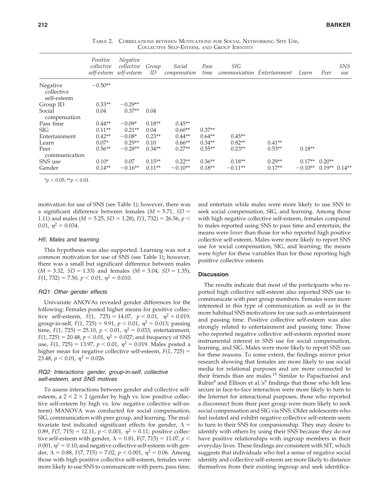|                                       | Positive<br>collective | Negative<br>collective<br>self-esteem self-esteem | Group<br>ID | Social<br>compensation | Pass<br>time | SIG<br>communication Entertainment |          | Learn     | Peer            | SNS<br>use |
|---------------------------------------|------------------------|---------------------------------------------------|-------------|------------------------|--------------|------------------------------------|----------|-----------|-----------------|------------|
| Negative<br>collective<br>self-esteem | $-0.50**$              |                                                   |             |                        |              |                                    |          |           |                 |            |
| Group ID                              | $0.33**$               | $-0.29**$                                         |             |                        |              |                                    |          |           |                 |            |
| Social<br>compensation                | 0.04                   | $0.37**$                                          | 0.04        |                        |              |                                    |          |           |                 |            |
| Pass time                             | $0.44**$               | $-0.09*$                                          | $0.18**$    | $0.45**$               |              |                                    |          |           |                 |            |
| SIG                                   | $0.11**$               | $0.21**$                                          | 0.04        | $0.60**$               | $0.37**$     |                                    |          |           |                 |            |
| Entertainment                         | $0.42**$               | $-0.08*$                                          | $0.23**$    | $0.44**$               | $0.64**$     | $0.45**$                           |          |           |                 |            |
| Learn                                 | $0.07*$                | $0.29**$                                          | 0.10        | $0.66**$               | $0.34**$     | $0.82**$                           | $0.41**$ |           |                 |            |
| Peer<br>communication                 | $0.56**$               | $-0.28**$                                         | $0.34**$    | $0.27**$               | $0.55**$     | $0.23**$                           | $0.53**$ | $0.18**$  |                 |            |
| SNS use                               | $0.10*$                | 0.07                                              | $0.15**$    | $0.22**$               | $0.36**$     | $0.18**$                           | $0.29**$ | $0.17**$  | $0.20**$        |            |
| Gender                                | $0.14**$               | $-0.16**$                                         | $0.11**$    | $-0.10**$              | $0.18**$     | $-0.11**$                          | $0.17**$ | $-0.10**$ | $0.19**$ 0.14** |            |

TABLE 2. CORRELATIONS BETWEEN MOTIVATIONS FOR SOCIAL NETWORKING SITE USE, COLLECTIVE SELF-ESTEEM, AND GROUP IDENTITY

 $*_{p}$  < 0.05; \*\**p* < 0.01.

motivation for use of SNS (see Table 1); however, there was a significant difference between females  $(M = 5.71, SD =$ 1.11) and males ( $M = 5.25$ ,  $SD = 1.28$ ),  $F(1, 732) = 26.56$ ,  $p <$ 0.01,  $\eta^2 = 0.034$ .

#### *H5: Males and learning*

This hypothesis was also supported. Learning was not a common motivation for use of SNS (see Table 1); however, there was a small but significant difference between males  $(M = 3.32, SD = 1.33)$  and females  $(M = 3.04, SD = 1.35)$ ,  $F(1, 732) = 7.50, p < 0.01, \eta^2 = 0.010.$ 

#### *RQ1: Other gender effects*

Univariate ANOVAs revealed gender differences for the following: Females posted higher means for positive collective self-esteem,  $F(1, 725) = 14.07$ ,  $p < 0.01$ ,  $\eta^2 = 0.019$ ; group-in-self,  $F(1, 725) = 9.91$ ,  $p < 0.01$ ,  $\eta^2 = 0.013$ ; passing time,  $F(1, 725) = 25.10$ ,  $p < 0.01$ ,  $\eta^2 = 0.033$ ; entertainment,  $F(1, 725) = 20.48$ ,  $p < 0.01$ ,  $\eta^2 = 0.027$ ; and frequency of SNS use,  $F(1, 725) = 13.97$ ,  $p < 0.01$ ,  $\eta^2 = 0.019$ . Males posted a higher mean for negative collective self-esteem, *F*(1, 725) -  $23.48, p < 0.01, \eta^2 = 0.026.$ 

# *RQ2: Interactions: gender, group-in-self, collective self-esteem, and SNS motives*

To assess interactions between gender and collective selfesteem, a  $2 \times 2 \times 2$  (gender by high vs. low positive collective self-esteem by high vs. low negative collective self-esteem) MANOVA was conducted for social compensation, SIG, communication with peer group, and learning. The multivariate test indicated significant effects for gender,  $\Lambda =$ 0.89,  $F(7, 715) = 12.11$ ,  $p < 0.001$ ,  $\eta^2 = 0.11$ ; positive collective self-esteem with gender,  $\Lambda = 0.81$ , F(7, 715) = 11.07,  $p <$ 0.001,  $\eta^2 = 0.10$ ; and negative collective self-esteem with gender,  $\Lambda = 0.88$ ,  $F(7, 715) = 7.02$ ,  $p < 0.001$ ,  $\eta^2 = 0.06$ . Among those with high positive collective self-esteem, females were more likely to use SNS to communicate with peers, pass time, and entertain while males were more likely to use SNS to seek social compensation, SIG, and learning. Among those with high negative collective self-esteem, females compared to males reported using SNS to pass time and entertain; the means were *lower* than those for who reported high positive collective self-esteem. Males were more likely to report SNS use for social compensation, SIG, and learning; the means were *higher* for these variables than for those reporting high positive collective esteem.

#### **Discussion**

The results indicate that most of the participants who reported high collective self-esteem also reported SNS use to communicate with peer group members. Females were more interested in this type of communication as well as in the more habitual SNS motivations for use such as entertainment and passing time. Positive collective self-esteem was also strongly related to entertainment and passing time. Those who reported negative collective self-esteem reported more instrumental interest in SNS use for social compensation, learning, and SIG. Males were more likely to report SNS use for these reasons. To some extent, the findings mirror prior research showing that females are more likely to use social media for relational purposes and are more connected to their friends than are males.<sup>15</sup> Similar to Papacharissi and Rubin<sup>8</sup> and Ellison et al.'s<sup>9</sup> findings that those who felt less secure in face-to-face interaction were more likely to turn to the Internet for interactional purposes, those who reported a disconnect from their peer group were more likely to seek social compensation and SIG via SNS. Older adolescents who feel isolated and exhibit negative collective self-esteem seem to turn to their SNS for companionship. They may desire to identify with others by using their SNS because they do not have positive relationships with ingroup members in their everyday lives. These findings are consistent with SIT, which suggests that individuals who feel a sense of negative social identity and collective self-esteem are more likely to distance themselves from their existing ingroup and seek identifica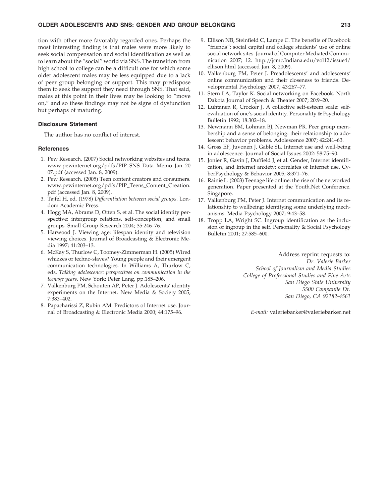tion with other more favorably regarded ones. Perhaps the most interesting finding is that males were more likely to seek social compensation and social identification as well as to learn about the "social" world via SNS. The transition from high school to college can be a difficult one for which some older adolescent males may be less equipped due to a lack of peer group belonging or support. This may predispose them to seek the support they need through SNS. That said, males at this point in their lives may be looking to "move on," and so these findings may not be signs of dysfunction but perhaps of maturing.

### **Disclosure Statement**

The author has no conflict of interest.

#### **References**

- 1. Pew Research. (2007) Social networking websites and teens. www.pewinternet.org/pdfs/PIP\_SNS\_Data\_Memo\_Jan\_20 07.pdf (accessed Jan. 8, 2009).
- 2. Pew Research. (2005) Teen content creators and consumers. www.pewinternet.org/pdfs/PIP\_Teens\_Content\_Creation. pdf (accessed Jan. 8, 2009).
- 3. Tajfel H, ed. (1978) *Differentiation between social groups*. London: Academic Press.
- 4. Hogg MA, Abrams D, Otten S, et al. The social identity perspective: intergroup relations, self-conception, and small groups. Small Group Research 2004; 35:246–76.
- 5. Harwood J. Viewing age: lifespan identity and television viewing choices. Journal of Broadcasting & Electronic Media 1997; 41:203–13.
- 6. McKay S, Thurlow C, Toomey-Zimmerman H. (2005) Wired whizzes or techno-slaves? Young people and their emergent communication technologies. In Williams A, Thurlow C, eds. *Talking adolescence: perspectives on communication in the teenage years*. New York: Peter Lang, pp.185–206.
- 7. Valkenburg PM, Schouten AP, Peter J. Adolescents' identity experiments on the Internet. New Media & Society 2005; 7:383–402.
- 8. Papacharissi Z, Rubin AM. Predictors of Internet use. Journal of Broadcasting & Electronic Media 2000; 44:175–96.
- 9. Ellison NB, Steinfield C, Lampe C. The benefits of Facebook "friends": social capital and college students' use of online social network sites. Journal of Computer Mediated Communication 2007; 12. http://jcmc.Indiana.edu/vol12/issue4/ ellison.html (accessed Jan. 8, 2009).
- 10. Valkenburg PM, Peter J. Preadolescents' and adolescents' online communication and their closeness to friends. Developmental Psychology 2007; 43:267–77.
- 11. Stern LA, Taylor K. Social networking on Facebook. North Dakota Journal of Speech & Theater 2007; 20:9–20.
- 12. Luhtanen R, Crocker J. A collective self-esteem scale: selfevaluation of one's social identity. Personality & Psychology Bulletin 1992; 18:302–18.
- 13. Newmann BM, Lohman BJ, Newman PR. Peer group membership and a sense of belonging: their relationship to adolescent behavior problems. Adolescence 2007; 42:241–63.
- 14. Gross EF, Juvonen J, Gable SL. Internet use and well-being in adolescence. Journal of Social Issues 2002: 58:75–90.
- 15. Jonier R, Gavin J, Duffield J, et al. Gender, Internet identification, and Internet anxiety: correlates of Internet use. CyberPsychology & Behavior 2005; 8:371–76.
- 16. Rainie L. (2003) Teenage life online: the rise of the networked generation. Paper presented at the Youth.Net Conference. Singapore.
- 17. Valkenburg PM, Peter J. Internet communication and its relationship to wellbeing: identifying some underlying mechanisms. Media Psychology 2007; 9:43–58.
- 18. Tropp LA, Wright SC. Ingroup identification as the inclusion of ingroup in the self. Personality & Social Psychology Bulletin 2001; 27:585–600.

Address reprint requests to: *Dr. Valerie Barker School of Journalism and Media Studies College of Professional Studies and Fine Arts San Diego State University 5500 Campanile Dr. San Diego, CA 92182-4561*

*E-mail:* valeriebarker@valeriebarker.net